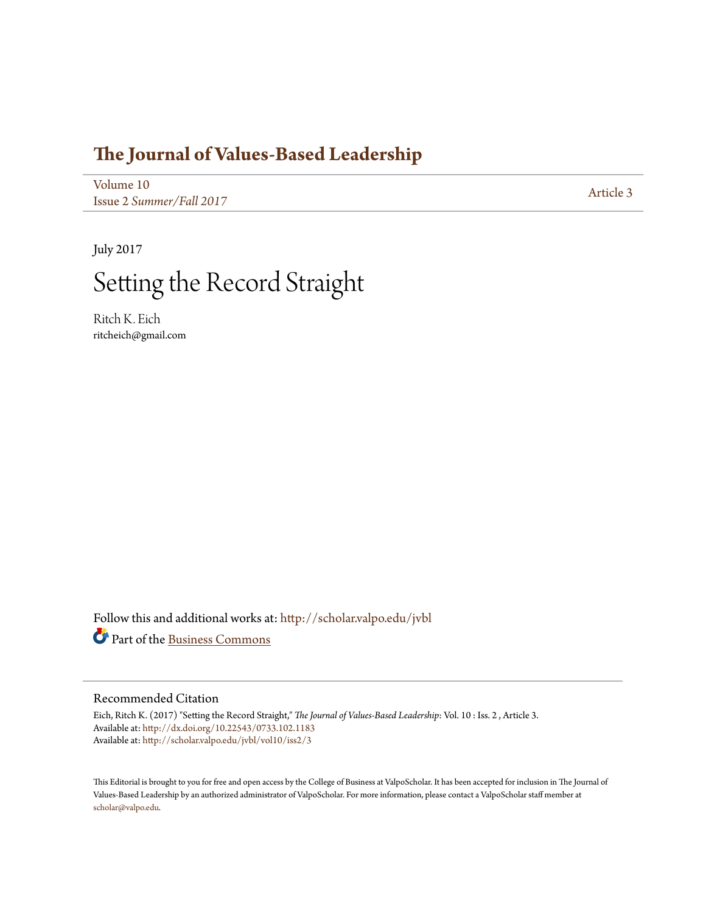### **[The Journal of Values-Based Leadership](http://scholar.valpo.edu/jvbl?utm_source=scholar.valpo.edu%2Fjvbl%2Fvol10%2Fiss2%2F3&utm_medium=PDF&utm_campaign=PDFCoverPages)**

[Volume 10](http://scholar.valpo.edu/jvbl/vol10?utm_source=scholar.valpo.edu%2Fjvbl%2Fvol10%2Fiss2%2F3&utm_medium=PDF&utm_campaign=PDFCoverPages) Issue 2 *[Summer/Fall 2017](http://scholar.valpo.edu/jvbl/vol10/iss2?utm_source=scholar.valpo.edu%2Fjvbl%2Fvol10%2Fiss2%2F3&utm_medium=PDF&utm_campaign=PDFCoverPages)* [Article 3](http://scholar.valpo.edu/jvbl/vol10/iss2/3?utm_source=scholar.valpo.edu%2Fjvbl%2Fvol10%2Fiss2%2F3&utm_medium=PDF&utm_campaign=PDFCoverPages)

July 2017

# Setting the Record Straight

Ritch K. Eich ritcheich@gmail.com

Follow this and additional works at: [http://scholar.valpo.edu/jvbl](http://scholar.valpo.edu/jvbl?utm_source=scholar.valpo.edu%2Fjvbl%2Fvol10%2Fiss2%2F3&utm_medium=PDF&utm_campaign=PDFCoverPages) Part of the [Business Commons](http://network.bepress.com/hgg/discipline/622?utm_source=scholar.valpo.edu%2Fjvbl%2Fvol10%2Fiss2%2F3&utm_medium=PDF&utm_campaign=PDFCoverPages)

#### Recommended Citation

Eich, Ritch K. (2017) "Setting the Record Straight," *The Journal of Values-Based Leadership*: Vol. 10 : Iss. 2 , Article 3. Available at: <http://dx.doi.org/10.22543/0733.102.1183> Available at: [http://scholar.valpo.edu/jvbl/vol10/iss2/3](http://scholar.valpo.edu/jvbl/vol10/iss2/3?utm_source=scholar.valpo.edu%2Fjvbl%2Fvol10%2Fiss2%2F3&utm_medium=PDF&utm_campaign=PDFCoverPages)

This Editorial is brought to you for free and open access by the College of Business at ValpoScholar. It has been accepted for inclusion in The Journal of Values-Based Leadership by an authorized administrator of ValpoScholar. For more information, please contact a ValpoScholar staff member at [scholar@valpo.edu.](mailto:scholar@valpo.edu)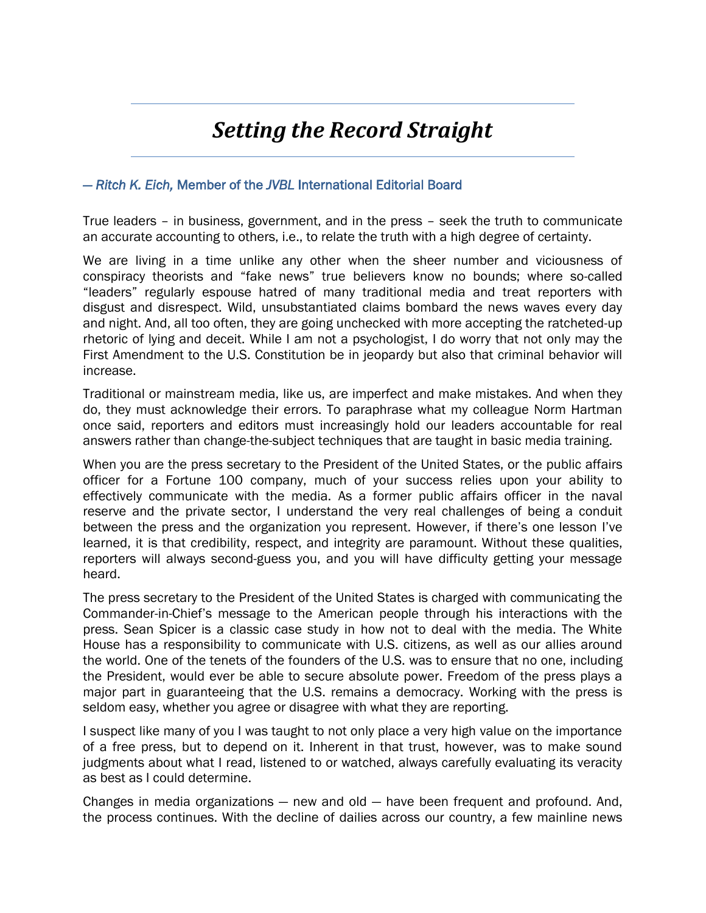## *Setting the Record Straight*

### *― Ritch K. Eich,* Member of the *JVBL* International Editorial Board

True leaders – in business, government, and in the press – seek the truth to communicate an accurate accounting to others, i.e., to relate the truth with a high degree of certainty.

We are living in a time unlike any other when the sheer number and viciousness of conspiracy theorists and "fake news" true believers know no bounds; where so-called "leaders" regularly espouse hatred of many traditional media and treat reporters with disgust and disrespect. Wild, unsubstantiated claims bombard the news waves every day and night. And, all too often, they are going unchecked with more accepting the ratcheted-up rhetoric of lying and deceit. While I am not a psychologist, I do worry that not only may the First Amendment to the U.S. Constitution be in jeopardy but also that criminal behavior will increase.

Traditional or mainstream media, like us, are imperfect and make mistakes. And when they do, they must acknowledge their errors. To paraphrase what my colleague Norm Hartman once said, reporters and editors must increasingly hold our leaders accountable for real answers rather than change-the-subject techniques that are taught in basic media training.

When you are the press secretary to the President of the United States, or the public affairs officer for a Fortune 100 company, much of your success relies upon your ability to effectively communicate with the media. As a former public affairs officer in the naval reserve and the private sector, I understand the very real challenges of being a conduit between the press and the organization you represent. However, if there's one lesson I've learned, it is that credibility, respect, and integrity are paramount. Without these qualities, reporters will always second-guess you, and you will have difficulty getting your message heard.

The press secretary to the President of the United States is charged with communicating the Commander-in-Chief's message to the American people through his interactions with the press. Sean Spicer is a classic case study in how not to deal with the media. The White House has a responsibility to communicate with U.S. citizens, as well as our allies around the world. One of the tenets of the founders of the U.S. was to ensure that no one, including the President, would ever be able to secure absolute power. Freedom of the press plays a major part in guaranteeing that the U.S. remains a democracy. Working with the press is seldom easy, whether you agree or disagree with what they are reporting.

I suspect like many of you I was taught to not only place a very high value on the importance of a free press, but to depend on it. Inherent in that trust, however, was to make sound judgments about what I read, listened to or watched, always carefully evaluating its veracity as best as I could determine.

Changes in media organizations — new and old — have been frequent and profound. And, the process continues. With the decline of dailies across our country, a few mainline news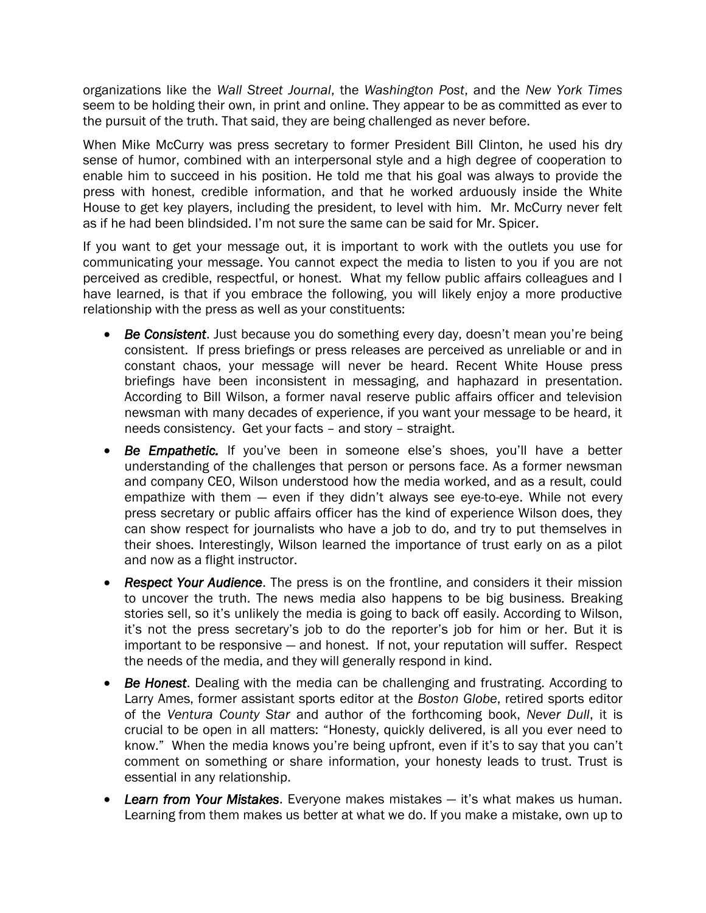organizations like the *Wall Street Journal*, the *Washington Post*, and the *New York Times* seem to be holding their own, in print and online. They appear to be as committed as ever to the pursuit of the truth. That said, they are being challenged as never before.

When Mike McCurry was press secretary to former President Bill Clinton, he used his dry sense of humor, combined with an interpersonal style and a high degree of cooperation to enable him to succeed in his position. He told me that his goal was always to provide the press with honest, credible information, and that he worked arduously inside the White House to get key players, including the president, to level with him. Mr. McCurry never felt as if he had been blindsided. I'm not sure the same can be said for Mr. Spicer.

If you want to get your message out, it is important to work with the outlets you use for communicating your message. You cannot expect the media to listen to you if you are not perceived as credible, respectful, or honest. What my fellow public affairs colleagues and I have learned, is that if you embrace the following, you will likely enjoy a more productive relationship with the press as well as your constituents:

- *Be Consistent*. Just because you do something every day, doesn't mean you're being consistent. If press briefings or press releases are perceived as unreliable or and in constant chaos, your message will never be heard. Recent White House press briefings have been inconsistent in messaging, and haphazard in presentation. According to Bill Wilson, a former naval reserve public affairs officer and television newsman with many decades of experience, if you want your message to be heard, it needs consistency. Get your facts – and story – straight.
- *Be Empathetic.* If you've been in someone else's shoes, you'll have a better understanding of the challenges that person or persons face. As a former newsman and company CEO, Wilson understood how the media worked, and as a result, could empathize with them — even if they didn't always see eye-to-eye. While not every press secretary or public affairs officer has the kind of experience Wilson does, they can show respect for journalists who have a job to do, and try to put themselves in their shoes. Interestingly, Wilson learned the importance of trust early on as a pilot and now as a flight instructor.
- *Respect Your Audience*. The press is on the frontline, and considers it their mission to uncover the truth. The news media also happens to be big business. Breaking stories sell, so it's unlikely the media is going to back off easily. According to Wilson, it's not the press secretary's job to do the reporter's job for him or her. But it is important to be responsive — and honest. If not, your reputation will suffer. Respect the needs of the media, and they will generally respond in kind.
- *Be Honest*. Dealing with the media can be challenging and frustrating. According to Larry Ames, former assistant sports editor at the *Boston Globe*, retired sports editor of the *Ventura County Star* and author of the forthcoming book, *Never Dull*, it is crucial to be open in all matters: "Honesty, quickly delivered, is all you ever need to know." When the media knows you're being upfront, even if it's to say that you can't comment on something or share information, your honesty leads to trust. Trust is essential in any relationship.
- *Learn from Your Mistakes*. Everyone makes mistakes it's what makes us human. Learning from them makes us better at what we do. If you make a mistake, own up to